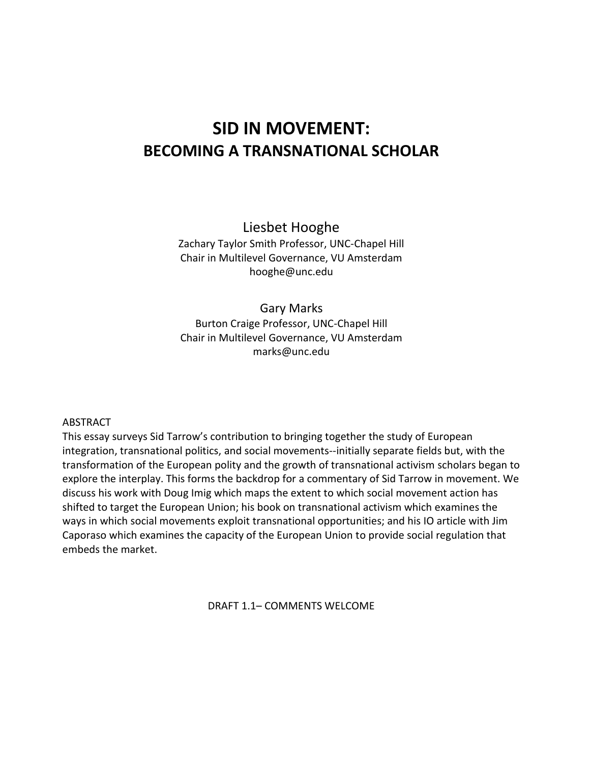# **SID IN MOVEMENT: BECOMING A TRANSNATIONAL SCHOLAR**

Liesbet Hooghe Zachary Taylor Smith Professor, UNC-Chapel Hill Chair in Multilevel Governance, VU Amsterdam

hooghe@unc.edu

Gary Marks Burton Craige Professor, UNC-Chapel Hill Chair in Multilevel Governance, VU Amsterdam marks@unc.edu

#### ABSTRACT

This essay surveys Sid Tarrow's contribution to bringing together the study of European integration, transnational politics, and social movements--initially separate fields but, with the transformation of the European polity and the growth of transnational activism scholars began to explore the interplay. This forms the backdrop for a commentary of Sid Tarrow in movement. We discuss his work with Doug Imig which maps the extent to which social movement action has shifted to target the European Union; his book on transnational activism which examines the ways in which social movements exploit transnational opportunities; and his IO article with Jim Caporaso which examines the capacity of the European Union to provide social regulation that embeds the market.

DRAFT 1.1– COMMENTS WELCOME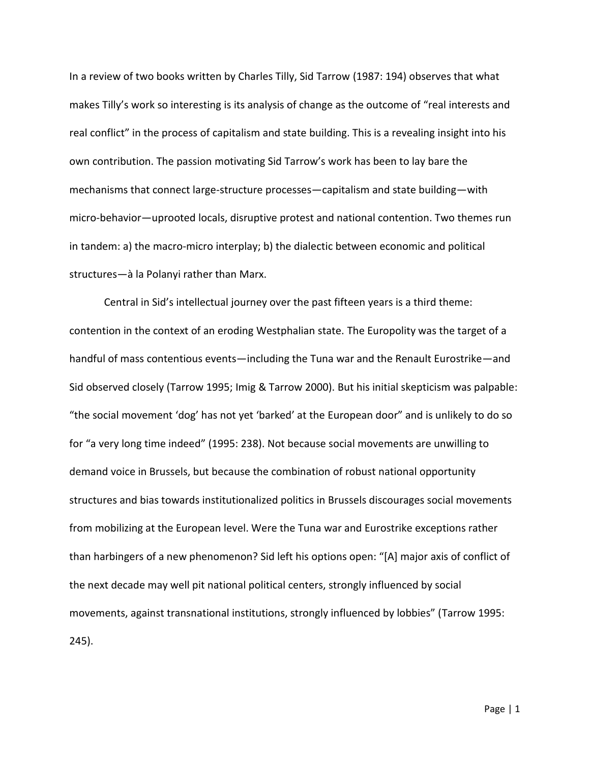In a review of two books written by Charles Tilly, Sid Tarrow (1987: 194) observes that what makes Tilly's work so interesting is its analysis of change as the outcome of "real interests and real conflict" in the process of capitalism and state building. This is a revealing insight into his own contribution. The passion motivating Sid Tarrow's work has been to lay bare the mechanisms that connect large-structure processes—capitalism and state building—with micro-behavior—uprooted locals, disruptive protest and national contention. Two themes run in tandem: a) the macro-micro interplay; b) the dialectic between economic and political structures—à la Polanyi rather than Marx.

Central in Sid's intellectual journey over the past fifteen years is a third theme: contention in the context of an eroding Westphalian state. The Europolity was the target of a handful of mass contentious events—including the Tuna war and the Renault Eurostrike—and Sid observed closely (Tarrow 1995; Imig & Tarrow 2000). But his initial skepticism was palpable: "the social movement 'dog' has not yet 'barked' at the European door" and is unlikely to do so for "a very long time indeed" (1995: 238). Not because social movements are unwilling to demand voice in Brussels, but because the combination of robust national opportunity structures and bias towards institutionalized politics in Brussels discourages social movements from mobilizing at the European level. Were the Tuna war and Eurostrike exceptions rather than harbingers of a new phenomenon? Sid left his options open: "[A] major axis of conflict of the next decade may well pit national political centers, strongly influenced by social movements, against transnational institutions, strongly influenced by lobbies" (Tarrow 1995: 245).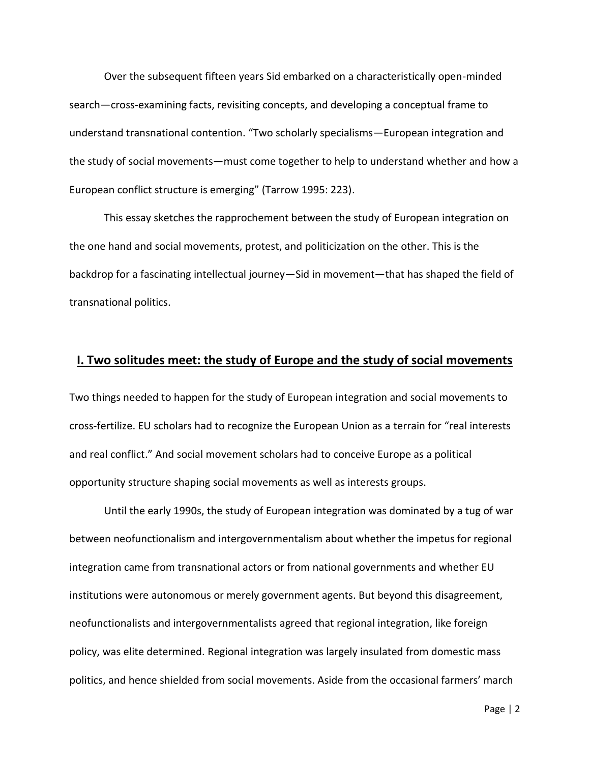Over the subsequent fifteen years Sid embarked on a characteristically open-minded search—cross-examining facts, revisiting concepts, and developing a conceptual frame to understand transnational contention. "Two scholarly specialisms—European integration and the study of social movements—must come together to help to understand whether and how a European conflict structure is emerging" (Tarrow 1995: 223).

This essay sketches the rapprochement between the study of European integration on the one hand and social movements, protest, and politicization on the other. This is the backdrop for a fascinating intellectual journey—Sid in movement—that has shaped the field of transnational politics.

#### **I. Two solitudes meet: the study of Europe and the study of social movements**

Two things needed to happen for the study of European integration and social movements to cross-fertilize. EU scholars had to recognize the European Union as a terrain for "real interests and real conflict." And social movement scholars had to conceive Europe as a political opportunity structure shaping social movements as well as interests groups.

Until the early 1990s, the study of European integration was dominated by a tug of war between neofunctionalism and intergovernmentalism about whether the impetus for regional integration came from transnational actors or from national governments and whether EU institutions were autonomous or merely government agents. But beyond this disagreement, neofunctionalists and intergovernmentalists agreed that regional integration, like foreign policy, was elite determined. Regional integration was largely insulated from domestic mass politics, and hence shielded from social movements. Aside from the occasional farmers' march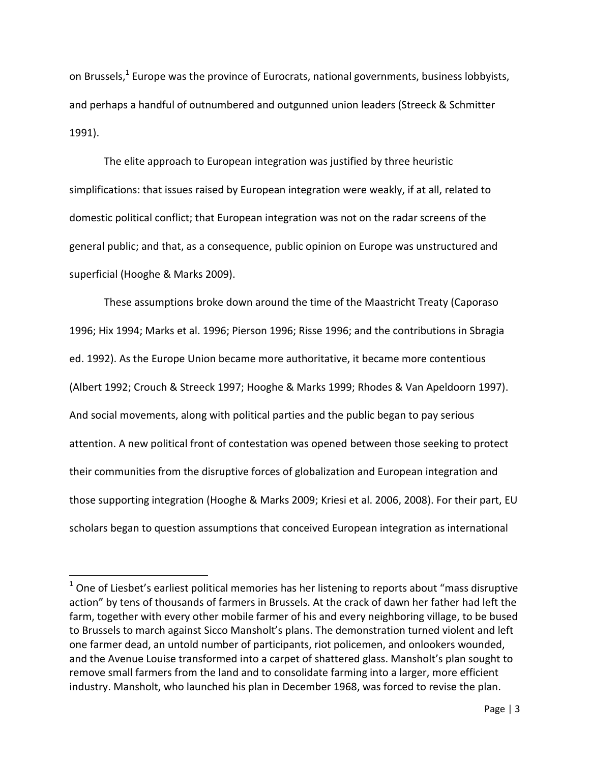on Brussels,<sup>1</sup> Europe was the province of Eurocrats, national governments, business lobbyists, and perhaps a handful of outnumbered and outgunned union leaders (Streeck & Schmitter 1991).

The elite approach to European integration was justified by three heuristic simplifications: that issues raised by European integration were weakly, if at all, related to domestic political conflict; that European integration was not on the radar screens of the general public; and that, as a consequence, public opinion on Europe was unstructured and superficial (Hooghe & Marks 2009).

These assumptions broke down around the time of the Maastricht Treaty (Caporaso 1996; Hix 1994; Marks et al. 1996; Pierson 1996; Risse 1996; and the contributions in Sbragia ed. 1992). As the Europe Union became more authoritative, it became more contentious (Albert 1992; Crouch & Streeck 1997; Hooghe & Marks 1999; Rhodes & Van Apeldoorn 1997). And social movements, along with political parties and the public began to pay serious attention. A new political front of contestation was opened between those seeking to protect their communities from the disruptive forces of globalization and European integration and those supporting integration (Hooghe & Marks 2009; Kriesi et al. 2006, 2008). For their part, EU scholars began to question assumptions that conceived European integration as international

 $\overline{\phantom{a}}$ 

 $1$  One of Liesbet's earliest political memories has her listening to reports about "mass disruptive action" by tens of thousands of farmers in Brussels. At the crack of dawn her father had left the farm, together with every other mobile farmer of his and every neighboring village, to be bused to Brussels to march against Sicco Mansholt's plans. The demonstration turned violent and left one farmer dead, an untold number of participants, riot policemen, and onlookers wounded, and the Avenue Louise transformed into a carpet of shattered glass. Mansholt's plan sought to remove small farmers from the land and to consolidate farming into a larger, more efficient industry. Mansholt, who launched his plan in December 1968, was forced to revise the plan.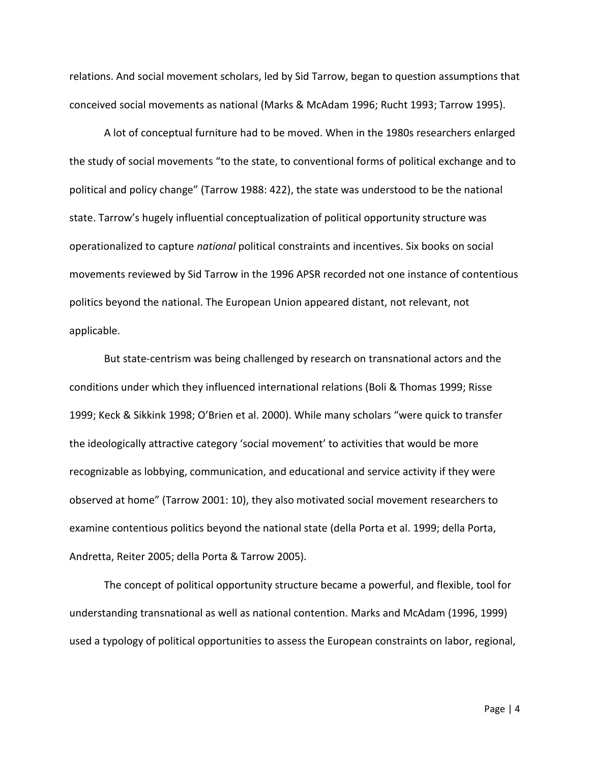relations. And social movement scholars, led by Sid Tarrow, began to question assumptions that conceived social movements as national (Marks & McAdam 1996; Rucht 1993; Tarrow 1995).

A lot of conceptual furniture had to be moved. When in the 1980s researchers enlarged the study of social movements "to the state, to conventional forms of political exchange and to political and policy change" (Tarrow 1988: 422), the state was understood to be the national state. Tarrow's hugely influential conceptualization of political opportunity structure was operationalized to capture *national* political constraints and incentives. Six books on social movements reviewed by Sid Tarrow in the 1996 APSR recorded not one instance of contentious politics beyond the national. The European Union appeared distant, not relevant, not applicable.

But state-centrism was being challenged by research on transnational actors and the conditions under which they influenced international relations (Boli & Thomas 1999; Risse 1999; Keck & Sikkink 1998; O'Brien et al. 2000). While many scholars "were quick to transfer the ideologically attractive category 'social movement' to activities that would be more recognizable as lobbying, communication, and educational and service activity if they were observed at home" (Tarrow 2001: 10), they also motivated social movement researchers to examine contentious politics beyond the national state (della Porta et al. 1999; della Porta, Andretta, Reiter 2005; della Porta & Tarrow 2005).

The concept of political opportunity structure became a powerful, and flexible, tool for understanding transnational as well as national contention. Marks and McAdam (1996, 1999) used a typology of political opportunities to assess the European constraints on labor, regional,

Page | 4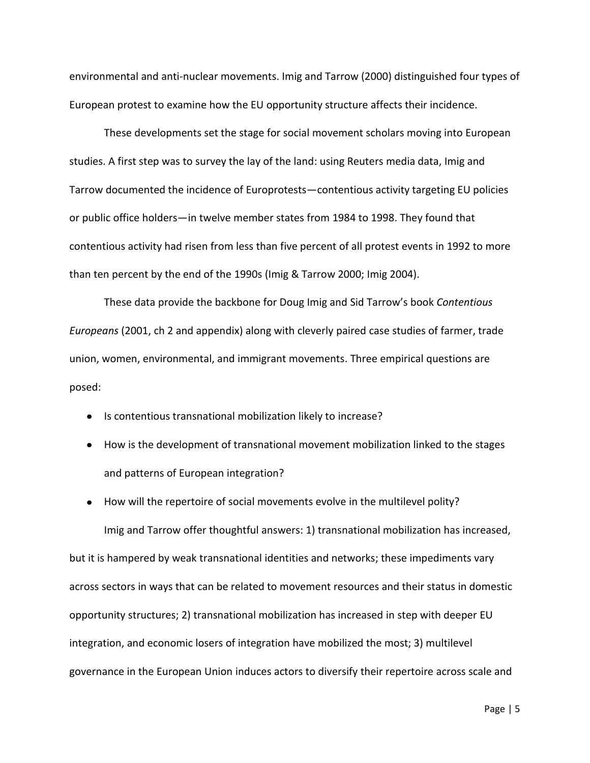environmental and anti-nuclear movements. Imig and Tarrow (2000) distinguished four types of European protest to examine how the EU opportunity structure affects their incidence.

These developments set the stage for social movement scholars moving into European studies. A first step was to survey the lay of the land: using Reuters media data, Imig and Tarrow documented the incidence of Europrotests—contentious activity targeting EU policies or public office holders—in twelve member states from 1984 to 1998. They found that contentious activity had risen from less than five percent of all protest events in 1992 to more than ten percent by the end of the 1990s (Imig & Tarrow 2000; Imig 2004).

These data provide the backbone for Doug Imig and Sid Tarrow's book *Contentious Europeans* (2001, ch 2 and appendix) along with cleverly paired case studies of farmer, trade union, women, environmental, and immigrant movements. Three empirical questions are posed:

- Is contentious transnational mobilization likely to increase?
- How is the development of transnational movement mobilization linked to the stages and patterns of European integration?
- How will the repertoire of social movements evolve in the multilevel polity? Imig and Tarrow offer thoughtful answers: 1) transnational mobilization has increased, but it is hampered by weak transnational identities and networks; these impediments vary across sectors in ways that can be related to movement resources and their status in domestic opportunity structures; 2) transnational mobilization has increased in step with deeper EU integration, and economic losers of integration have mobilized the most; 3) multilevel governance in the European Union induces actors to diversify their repertoire across scale and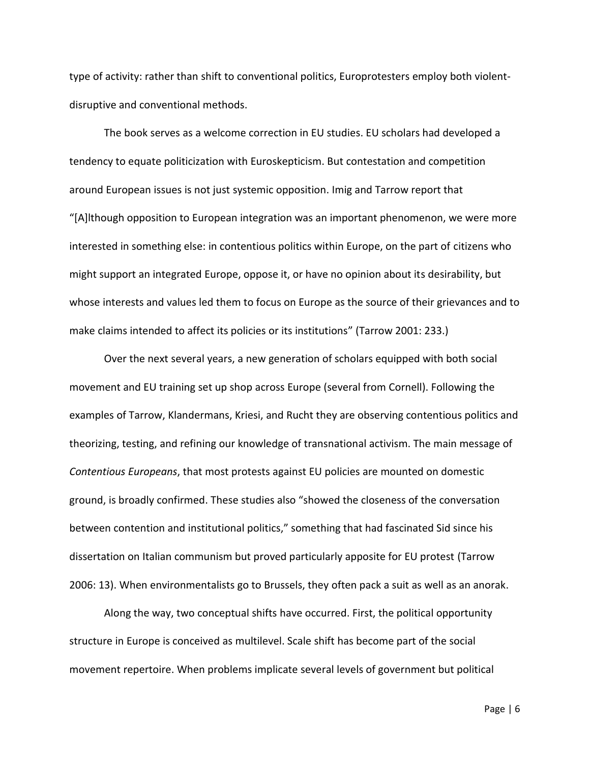type of activity: rather than shift to conventional politics, Europrotesters employ both violentdisruptive and conventional methods.

The book serves as a welcome correction in EU studies. EU scholars had developed a tendency to equate politicization with Euroskepticism. But contestation and competition around European issues is not just systemic opposition. Imig and Tarrow report that "[A]lthough opposition to European integration was an important phenomenon, we were more interested in something else: in contentious politics within Europe, on the part of citizens who might support an integrated Europe, oppose it, or have no opinion about its desirability, but whose interests and values led them to focus on Europe as the source of their grievances and to make claims intended to affect its policies or its institutions" (Tarrow 2001: 233.)

Over the next several years, a new generation of scholars equipped with both social movement and EU training set up shop across Europe (several from Cornell). Following the examples of Tarrow, Klandermans, Kriesi, and Rucht they are observing contentious politics and theorizing, testing, and refining our knowledge of transnational activism. The main message of *Contentious Europeans*, that most protests against EU policies are mounted on domestic ground, is broadly confirmed. These studies also "showed the closeness of the conversation between contention and institutional politics," something that had fascinated Sid since his dissertation on Italian communism but proved particularly apposite for EU protest (Tarrow 2006: 13). When environmentalists go to Brussels, they often pack a suit as well as an anorak.

Along the way, two conceptual shifts have occurred. First, the political opportunity structure in Europe is conceived as multilevel. Scale shift has become part of the social movement repertoire. When problems implicate several levels of government but political

Page | 6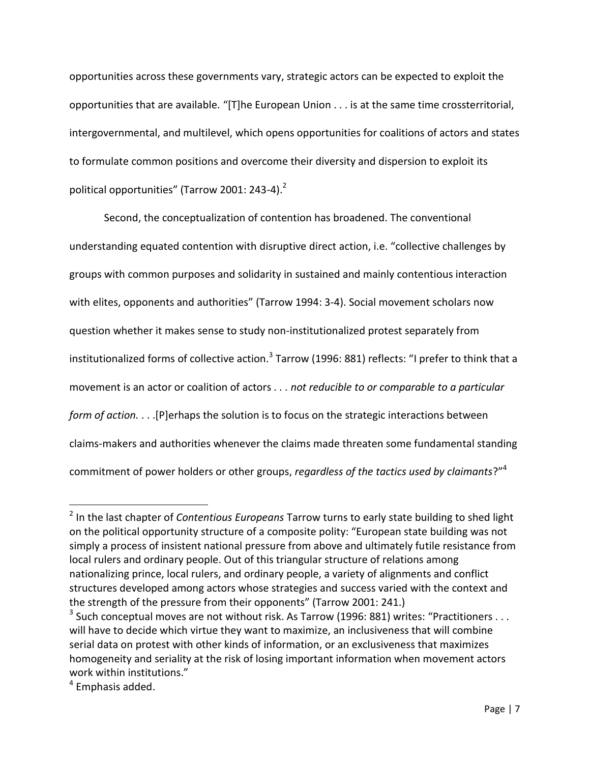opportunities across these governments vary, strategic actors can be expected to exploit the opportunities that are available. "[T]he European Union . . . is at the same time crossterritorial, intergovernmental, and multilevel, which opens opportunities for coalitions of actors and states to formulate common positions and overcome their diversity and dispersion to exploit its political opportunities" (Tarrow 2001: 243-4).<sup>2</sup>

Second, the conceptualization of contention has broadened. The conventional understanding equated contention with disruptive direct action, i.e. "collective challenges by groups with common purposes and solidarity in sustained and mainly contentious interaction with elites, opponents and authorities" (Tarrow 1994: 3-4). Social movement scholars now question whether it makes sense to study non-institutionalized protest separately from institutionalized forms of collective action. $^3$  Tarrow (1996: 881) reflects: "I prefer to think that a movement is an actor or coalition of actors *. . . not reducible to or comparable to a particular form of action.* . . .[P]erhaps the solution is to focus on the strategic interactions between claims-makers and authorities whenever the claims made threaten some fundamental standing commitment of power holders or other groups, *regardless of the tactics used by claimants*?"<sup>4</sup>

l

<sup>2</sup> In the last chapter of *Contentious Europeans* Tarrow turns to early state building to shed light on the political opportunity structure of a composite polity: "European state building was not simply a process of insistent national pressure from above and ultimately futile resistance from local rulers and ordinary people. Out of this triangular structure of relations among nationalizing prince, local rulers, and ordinary people, a variety of alignments and conflict structures developed among actors whose strategies and success varied with the context and the strength of the pressure from their opponents" (Tarrow 2001: 241.)

<sup>&</sup>lt;sup>3</sup> Such conceptual moves are not without risk. As Tarrow (1996: 881) writes: "Practitioners . . . will have to decide which virtue they want to maximize, an inclusiveness that will combine serial data on protest with other kinds of information, or an exclusiveness that maximizes homogeneity and seriality at the risk of losing important information when movement actors work within institutions."

<sup>&</sup>lt;sup>4</sup> Emphasis added.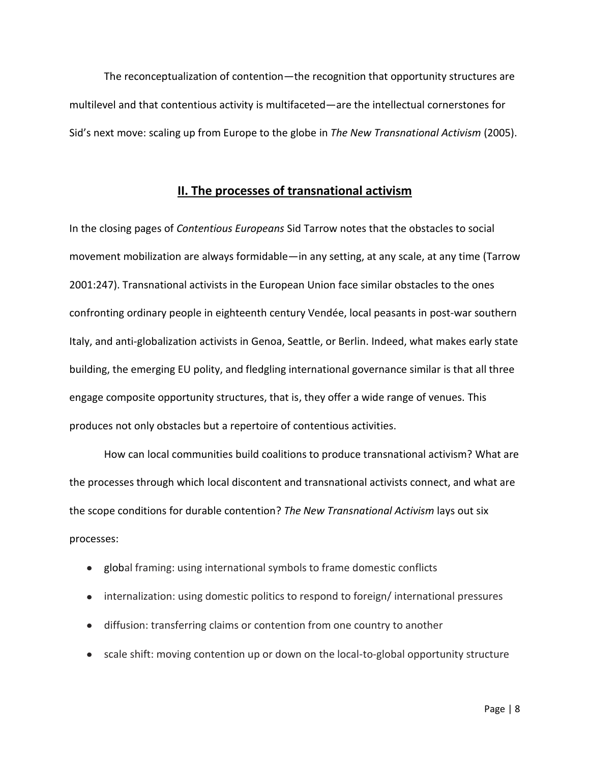The reconceptualization of contention—the recognition that opportunity structures are multilevel and that contentious activity is multifaceted—are the intellectual cornerstones for Sid's next move: scaling up from Europe to the globe in *The New Transnational Activism* (2005).

#### **II. The processes of transnational activism**

In the closing pages of *Contentious Europeans* Sid Tarrow notes that the obstacles to social movement mobilization are always formidable—in any setting, at any scale, at any time (Tarrow 2001:247). Transnational activists in the European Union face similar obstacles to the ones confronting ordinary people in eighteenth century Vendée, local peasants in post-war southern Italy, and anti-globalization activists in Genoa, Seattle, or Berlin. Indeed, what makes early state building, the emerging EU polity, and fledgling international governance similar is that all three engage composite opportunity structures, that is, they offer a wide range of venues. This produces not only obstacles but a repertoire of contentious activities.

How can local communities build coalitions to produce transnational activism? What are the processes through which local discontent and transnational activists connect, and what are the scope conditions for durable contention? *The New Transnational Activism* lays out six processes:

- global framing: using international symbols to frame domestic conflicts
- internalization: using domestic politics to respond to foreign/ international pressures
- diffusion: transferring claims or contention from one country to another
- scale shift: moving contention up or down on the local-to-global opportunity structure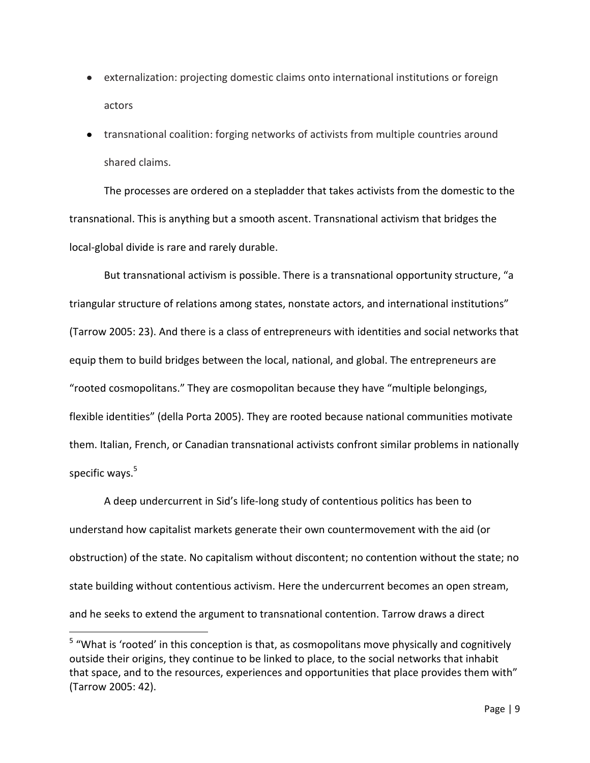- externalization: projecting domestic claims onto international institutions or foreign actors
- transnational coalition: forging networks of activists from multiple countries around shared claims.

The processes are ordered on a stepladder that takes activists from the domestic to the transnational. This is anything but a smooth ascent. Transnational activism that bridges the local-global divide is rare and rarely durable.

But transnational activism is possible. There is a transnational opportunity structure, "a triangular structure of relations among states, nonstate actors, and international institutions" (Tarrow 2005: 23). And there is a class of entrepreneurs with identities and social networks that equip them to build bridges between the local, national, and global. The entrepreneurs are "rooted cosmopolitans." They are cosmopolitan because they have "multiple belongings, flexible identities" (della Porta 2005). They are rooted because national communities motivate them. Italian, French, or Canadian transnational activists confront similar problems in nationally specific ways. $5$ 

A deep undercurrent in Sid's life-long study of contentious politics has been to understand how capitalist markets generate their own countermovement with the aid (or obstruction) of the state. No capitalism without discontent; no contention without the state; no state building without contentious activism. Here the undercurrent becomes an open stream, and he seeks to extend the argument to transnational contention. Tarrow draws a direct

 $\overline{a}$ 

<sup>&</sup>lt;sup>5</sup> "What is 'rooted' in this conception is that, as cosmopolitans move physically and cognitively outside their origins, they continue to be linked to place, to the social networks that inhabit that space, and to the resources, experiences and opportunities that place provides them with" (Tarrow 2005: 42).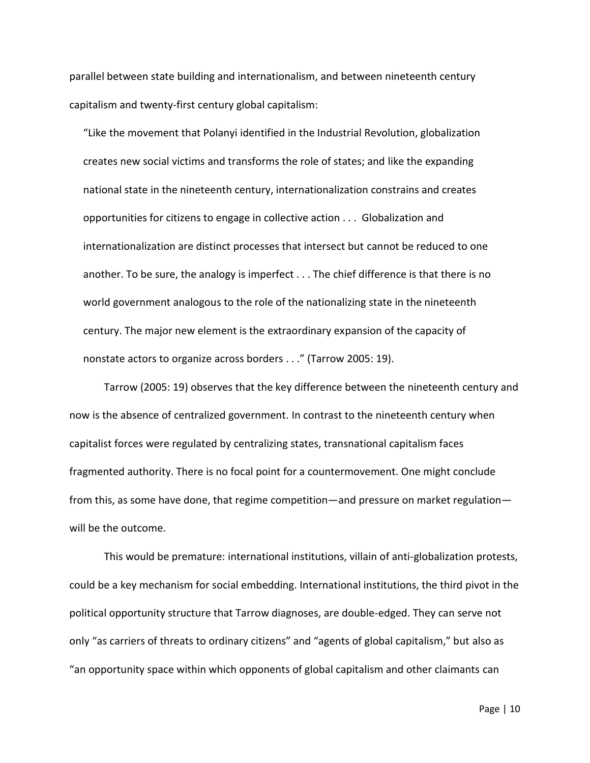parallel between state building and internationalism, and between nineteenth century capitalism and twenty-first century global capitalism:

"Like the movement that Polanyi identified in the Industrial Revolution, globalization creates new social victims and transforms the role of states; and like the expanding national state in the nineteenth century, internationalization constrains and creates opportunities for citizens to engage in collective action . . . Globalization and internationalization are distinct processes that intersect but cannot be reduced to one another. To be sure, the analogy is imperfect . . . The chief difference is that there is no world government analogous to the role of the nationalizing state in the nineteenth century. The major new element is the extraordinary expansion of the capacity of nonstate actors to organize across borders . . ." (Tarrow 2005: 19).

Tarrow (2005: 19) observes that the key difference between the nineteenth century and now is the absence of centralized government. In contrast to the nineteenth century when capitalist forces were regulated by centralizing states, transnational capitalism faces fragmented authority. There is no focal point for a countermovement. One might conclude from this, as some have done, that regime competition—and pressure on market regulation will be the outcome.

This would be premature: international institutions, villain of anti-globalization protests, could be a key mechanism for social embedding. International institutions, the third pivot in the political opportunity structure that Tarrow diagnoses, are double-edged. They can serve not only "as carriers of threats to ordinary citizens" and "agents of global capitalism," but also as "an opportunity space within which opponents of global capitalism and other claimants can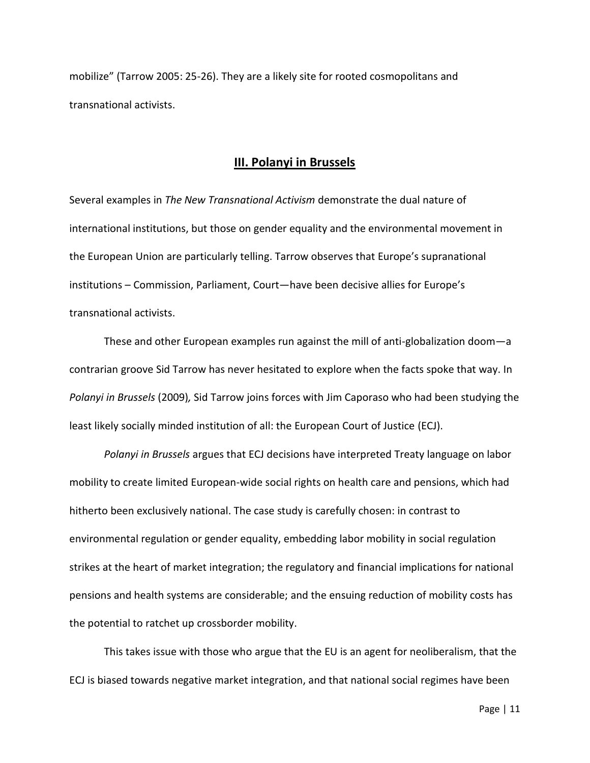mobilize" (Tarrow 2005: 25-26). They are a likely site for rooted cosmopolitans and transnational activists.

#### **III. Polanyi in Brussels**

Several examples in *The New Transnational Activism* demonstrate the dual nature of international institutions, but those on gender equality and the environmental movement in the European Union are particularly telling. Tarrow observes that Europe's supranational institutions – Commission, Parliament, Court—have been decisive allies for Europe's transnational activists.

These and other European examples run against the mill of anti-globalization doom—a contrarian groove Sid Tarrow has never hesitated to explore when the facts spoke that way. In *Polanyi in Brussels* (2009)*,* Sid Tarrow joins forces with Jim Caporaso who had been studying the least likely socially minded institution of all: the European Court of Justice (ECJ).

*Polanyi in Brussels* argues that ECJ decisions have interpreted Treaty language on labor mobility to create limited European-wide social rights on health care and pensions, which had hitherto been exclusively national. The case study is carefully chosen: in contrast to environmental regulation or gender equality, embedding labor mobility in social regulation strikes at the heart of market integration; the regulatory and financial implications for national pensions and health systems are considerable; and the ensuing reduction of mobility costs has the potential to ratchet up crossborder mobility.

This takes issue with those who argue that the EU is an agent for neoliberalism, that the ECJ is biased towards negative market integration, and that national social regimes have been

Page | 11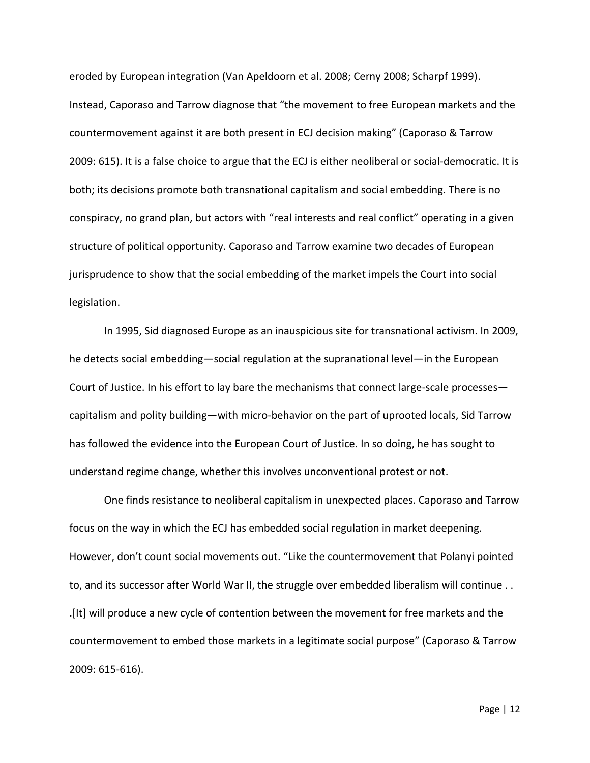eroded by European integration (Van Apeldoorn et al. 2008; Cerny 2008; Scharpf 1999). Instead, Caporaso and Tarrow diagnose that "the movement to free European markets and the countermovement against it are both present in ECJ decision making" (Caporaso & Tarrow 2009: 615). It is a false choice to argue that the ECJ is either neoliberal or social-democratic. It is both; its decisions promote both transnational capitalism and social embedding. There is no conspiracy, no grand plan, but actors with "real interests and real conflict" operating in a given structure of political opportunity. Caporaso and Tarrow examine two decades of European jurisprudence to show that the social embedding of the market impels the Court into social legislation.

In 1995, Sid diagnosed Europe as an inauspicious site for transnational activism. In 2009, he detects social embedding—social regulation at the supranational level—in the European Court of Justice. In his effort to lay bare the mechanisms that connect large-scale processes capitalism and polity building—with micro-behavior on the part of uprooted locals, Sid Tarrow has followed the evidence into the European Court of Justice. In so doing, he has sought to understand regime change, whether this involves unconventional protest or not.

One finds resistance to neoliberal capitalism in unexpected places. Caporaso and Tarrow focus on the way in which the ECJ has embedded social regulation in market deepening. However, don't count social movements out. "Like the countermovement that Polanyi pointed to, and its successor after World War II, the struggle over embedded liberalism will continue . . .[It] will produce a new cycle of contention between the movement for free markets and the countermovement to embed those markets in a legitimate social purpose" (Caporaso & Tarrow 2009: 615-616).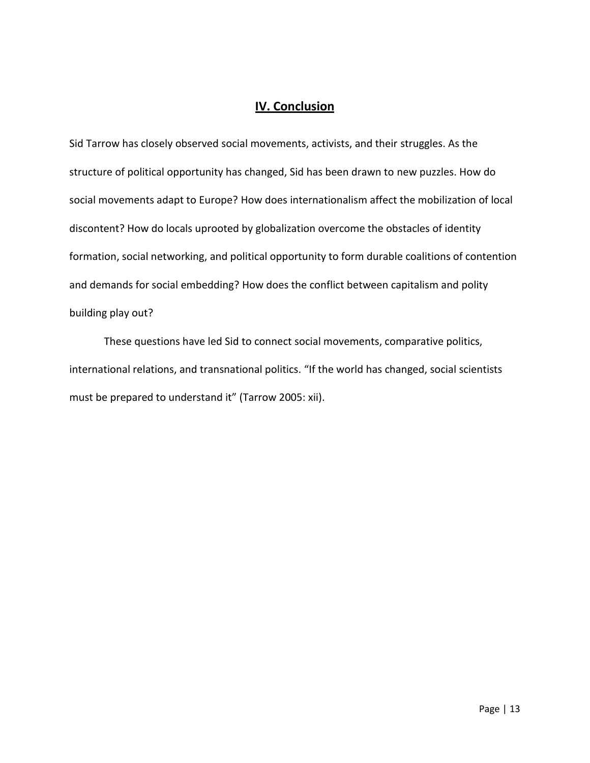## **IV. Conclusion**

Sid Tarrow has closely observed social movements, activists, and their struggles. As the structure of political opportunity has changed, Sid has been drawn to new puzzles. How do social movements adapt to Europe? How does internationalism affect the mobilization of local discontent? How do locals uprooted by globalization overcome the obstacles of identity formation, social networking, and political opportunity to form durable coalitions of contention and demands for social embedding? How does the conflict between capitalism and polity building play out?

These questions have led Sid to connect social movements, comparative politics, international relations, and transnational politics. "If the world has changed, social scientists must be prepared to understand it" (Tarrow 2005: xii).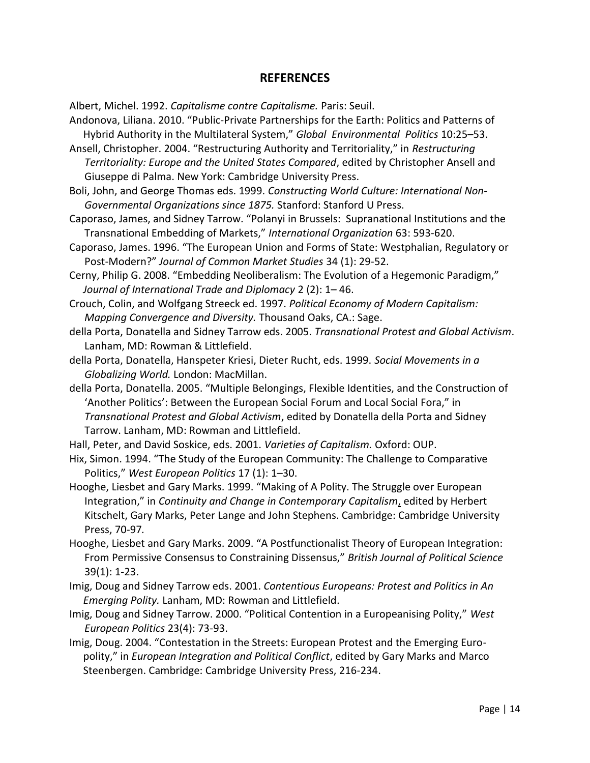### **REFERENCES**

Albert, Michel. 1992. *Capitalisme contre Capitalisme.* Paris: Seuil.

Andonova, Liliana. 2010. "Public-Private Partnerships for the Earth: Politics and Patterns of Hybrid Authority in the Multilateral System," *Global Environmental Politics* 10:25–53.

Ansell, Christopher. 2004. "Restructuring Authority and Territoriality," in *Restructuring Territoriality: Europe and the United States Compared*, edited by Christopher Ansell and Giuseppe di Palma. New York: Cambridge University Press.

Boli, John, and George Thomas eds. 1999. *Constructing World Culture: International Non-Governmental Organizations since 1875.* Stanford: Stanford U Press.

Caporaso, James, and Sidney Tarrow. "Polanyi in Brussels: Supranational Institutions and the Transnational Embedding of Markets," *International Organization* 63: 593-620.

Caporaso, James. 1996. "The European Union and Forms of State: Westphalian, Regulatory or Post-Modern?" *Journal of Common Market Studies* 34 (1): 29-52.

Cerny, Philip G. 2008. "Embedding Neoliberalism: The Evolution of a Hegemonic Paradigm," *Journal of International Trade and Diplomacy* 2 (2): 1– 46.

Crouch, Colin, and Wolfgang Streeck ed. 1997. *Political Economy of Modern Capitalism: Mapping Convergence and Diversity.* Thousand Oaks, CA.: Sage.

della Porta, Donatella and Sidney Tarrow eds. 2005. *Transnational Protest and Global Activism*. Lanham, MD: Rowman & Littlefield.

della Porta, Donatella, Hanspeter Kriesi, Dieter Rucht, eds. 1999. *Social Movements in a Globalizing World.* London: MacMillan.

della Porta, Donatella. 2005. "Multiple Belongings, Flexible Identities, and the Construction of 'Another Politics': Between the European Social Forum and Local Social Fora," in *Transnational Protest and Global Activism*, edited by Donatella della Porta and Sidney Tarrow. Lanham, MD: Rowman and Littlefield.

Hall, Peter, and David Soskice, eds. 2001. *Varieties of Capitalism.* Oxford: OUP.

Hix, Simon. 1994. "The Study of the European Community: The Challenge to Comparative Politics," *West European Politics* 17 (1): 1–30.

Hooghe, Liesbet and Gary Marks. 1999. "Making of A Polity. The Struggle over European Integration," in *Continuity and Change in Contemporary Capitalism*, edited by Herbert Kitschelt, Gary Marks, Peter Lange and John Stephens. Cambridge: Cambridge University Press, 70-97*.*

Hooghe, Liesbet and Gary Marks. 2009. "A Postfunctionalist Theory of European Integration: From Permissive Consensus to Constraining Dissensus," *British Journal of Political Science* 39(1): 1-23.

- Imig, Doug and Sidney Tarrow eds. 2001. *Contentious Europeans: Protest and Politics in An Emerging Polity.* Lanham, MD: Rowman and Littlefield.
- Imig, Doug and Sidney Tarrow. 2000. "Political Contention in a Europeanising Polity," *West European Politics* 23(4): 73-93.
- Imig, Doug. 2004. "Contestation in the Streets: European Protest and the Emerging Europolity," in *European Integration and Political Conflict*, edited by Gary Marks and Marco Steenbergen. Cambridge: Cambridge University Press, 216-234.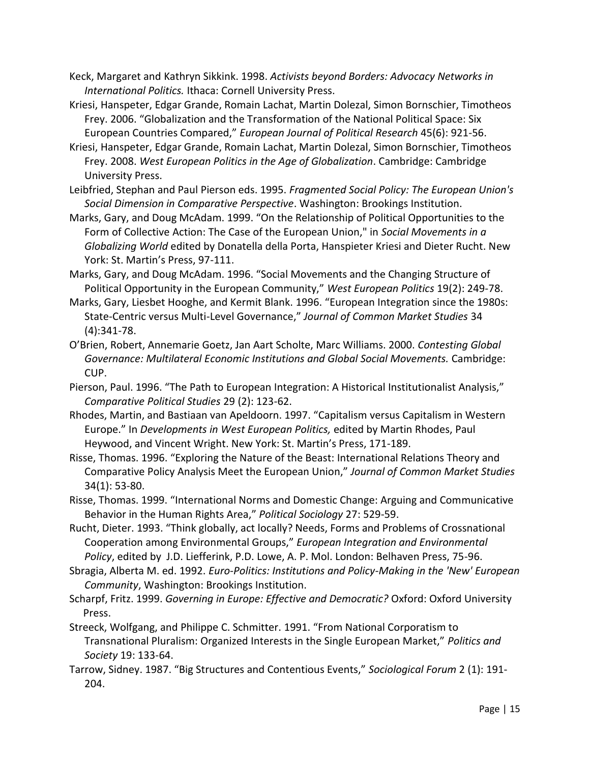- Keck, Margaret and Kathryn Sikkink. 1998. *Activists beyond Borders: Advocacy Networks in International Politics.* Ithaca: Cornell University Press.
- Kriesi, Hanspeter, Edgar Grande, Romain Lachat, Martin Dolezal, Simon Bornschier, Timotheos Frey. 2006. "Globalization and the Transformation of the National Political Space: Six European Countries Compared," *European Journal of Political Research* 45(6): 921-56.
- Kriesi, Hanspeter, Edgar Grande, Romain Lachat, Martin Dolezal, Simon Bornschier, Timotheos Frey. 2008. *West European Politics in the Age of Globalization*. Cambridge: Cambridge University Press.
- Leibfried, Stephan and Paul Pierson eds. 1995. *Fragmented Social Policy: The European Union's Social Dimension in Comparative Perspective*. Washington: Brookings Institution.
- Marks, Gary, and Doug McAdam. 1999. "On the Relationship of Political Opportunities to the Form of Collective Action: The Case of the European Union," in *Social Movements in a Globalizing World* edited by Donatella della Porta, Hanspieter Kriesi and Dieter Rucht. New York: St. Martin's Press, 97-111.
- Marks, Gary, and Doug McAdam. 1996. "Social Movements and the Changing Structure of Political Opportunity in the European Community," *West European Politics* 19(2): 249-78.
- Marks, Gary, Liesbet Hooghe, and Kermit Blank. 1996. "European Integration since the 1980s: State-Centric versus Multi-Level Governance," *Journal of Common Market Studies* 34 (4):341-78.
- O'Brien, Robert, Annemarie Goetz, Jan Aart Scholte, Marc Williams. 2000. *Contesting Global Governance: Multilateral Economic Institutions and Global Social Movements.* Cambridge: CUP.
- Pierson, Paul. 1996. "The Path to European Integration: A Historical Institutionalist Analysis," *Comparative Political Studies* 29 (2): 123-62.
- Rhodes, Martin, and Bastiaan van Apeldoorn. 1997. "Capitalism versus Capitalism in Western Europe." In *Developments in West European Politics,* edited by Martin Rhodes, Paul Heywood, and Vincent Wright. New York: St. Martin's Press, 171-189.
- Risse, Thomas. 1996. "Exploring the Nature of the Beast: International Relations Theory and Comparative Policy Analysis Meet the European Union," *Journal of Common Market Studies* 34(1): 53-80.
- Risse, Thomas. 1999. "International Norms and Domestic Change: Arguing and Communicative Behavior in the Human Rights Area," *Political Sociology* 27: 529-59.
- Rucht, Dieter. 1993. "Think globally, act locally? Needs, Forms and Problems of Crossnational Cooperation among Environmental Groups," *European Integration and Environmental Policy*, edited by J.D. Liefferink, P.D. Lowe, A. P. Mol. London: Belhaven Press, 75-96.
- Sbragia, Alberta M. ed. 1992. *Euro-Politics: Institutions and Policy-Making in the 'New' European Community*, Washington: Brookings Institution.
- Scharpf, Fritz. 1999. *Governing in Europe: Effective and Democratic?* Oxford: Oxford University Press.
- Streeck, Wolfgang, and Philippe C. Schmitter. 1991. "From National Corporatism to Transnational Pluralism: Organized Interests in the Single European Market," *Politics and Society* 19: 133-64.
- Tarrow, Sidney. 1987. "Big Structures and Contentious Events," *Sociological Forum* 2 (1): 191- 204.